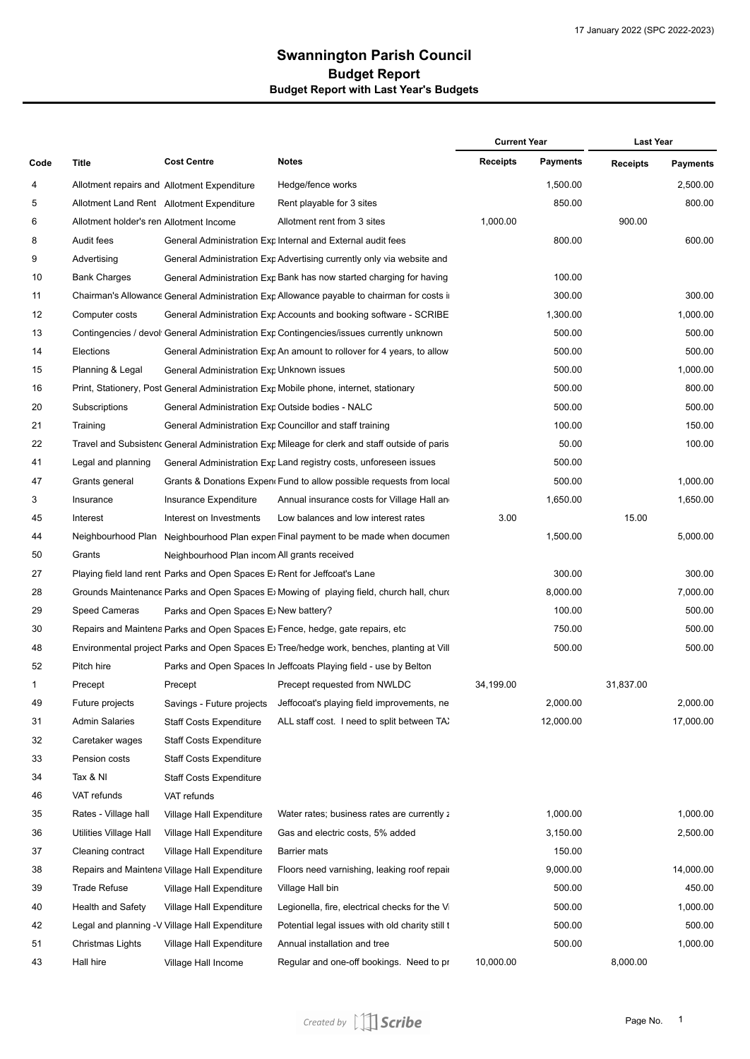## **Swannington Parish Council Budget Report with Last Year's Budgets Budget Report**

| Code | <b>Title</b>                            | <b>Cost Centre</b>                                                                       | <b>Notes</b>                                                                                            | <b>Current Year</b> |                 | <b>Last Year</b> |                 |
|------|-----------------------------------------|------------------------------------------------------------------------------------------|---------------------------------------------------------------------------------------------------------|---------------------|-----------------|------------------|-----------------|
|      |                                         |                                                                                          |                                                                                                         | <b>Receipts</b>     | <b>Payments</b> | <b>Receipts</b>  | <b>Payments</b> |
| 4    |                                         | Allotment repairs and Allotment Expenditure                                              | Hedge/fence works                                                                                       |                     | 1,500.00        |                  | 2,500.00        |
| 5    |                                         | Allotment Land Rent Allotment Expenditure                                                | Rent playable for 3 sites                                                                               |                     | 850.00          |                  | 800.00          |
| 6    | Allotment holder's ren Allotment Income |                                                                                          | Allotment rent from 3 sites                                                                             | 1,000.00            |                 | 900.00           |                 |
| 8    | Audit fees                              |                                                                                          | General Administration Exp Internal and External audit fees                                             |                     | 800.00          |                  | 600.00          |
| 9    | Advertising                             |                                                                                          | General Administration Exp Advertising currently only via website and                                   |                     |                 |                  |                 |
| 10   | <b>Bank Charges</b>                     |                                                                                          | General Administration Exp Bank has now started charging for having                                     |                     | 100.00          |                  |                 |
| 11   |                                         |                                                                                          | Chairman's Allowance General Administration Exp Allowance payable to chairman for costs in              |                     | 300.00          |                  | 300.00          |
| 12   | Computer costs                          |                                                                                          | General Administration Exp Accounts and booking software - SCRIBE                                       |                     | 1,300.00        |                  | 1,000.00        |
| 13   |                                         |                                                                                          | Contingencies / devol <sup>,</sup> General Administration Exp Contingencies/issues currently unknown    |                     | 500.00          |                  | 500.00          |
| 14   | Elections                               |                                                                                          | General Administration Exp An amount to rollover for 4 years, to allow                                  |                     | 500.00          |                  | 500.00          |
| 15   | Planning & Legal                        | General Administration Exp Unknown issues                                                |                                                                                                         |                     | 500.00          |                  | 1,000.00        |
| 16   |                                         |                                                                                          | Print, Stationery, Post General Administration Exp Mobile phone, internet, stationary                   |                     | 500.00          |                  | 800.00          |
| 20   | Subscriptions                           | General Administration Exp Outside bodies - NALC                                         |                                                                                                         |                     | 500.00          |                  | 500.00          |
| 21   | Training                                |                                                                                          | General Administration Exp Councillor and staff training                                                |                     | 100.00          |                  | 150.00          |
| 22   |                                         |                                                                                          | Travel and Subsisten $\epsilon$ General Administration Exp Mileage for clerk and staff outside of paris |                     | 50.00           |                  | 100.00          |
| 41   | Legal and planning                      |                                                                                          | General Administration Exp Land registry costs, unforeseen issues                                       |                     | 500.00          |                  |                 |
| 47   | Grants general                          |                                                                                          | Grants & Donations Expen Fund to allow possible requests from local                                     |                     | 500.00          |                  | 1,000.00        |
| 3    | Insurance                               | Insurance Expenditure                                                                    | Annual insurance costs for Village Hall an                                                              |                     | 1,650.00        |                  | 1,650.00        |
| 45   | Interest                                | Interest on Investments                                                                  | Low balances and low interest rates                                                                     | 3.00                |                 | 15.00            |                 |
| 44   |                                         |                                                                                          | Neighbourhood Plan Neighbourhood Plan expen Final payment to be made when documen                       |                     | 1,500.00        |                  | 5,000.00        |
| 50   | Grants                                  | Neighbourhood Plan incom All grants received                                             |                                                                                                         |                     |                 |                  |                 |
| 27   |                                         | Playing field land rent Parks and Open Spaces E Rent for Jeffcoat's Lane                 |                                                                                                         |                     | 300.00          |                  | 300.00          |
| 28   |                                         |                                                                                          | Grounds Maintenance Parks and Open Spaces E Mowing of playing field, church hall, churo                 |                     | 8,000.00        |                  | 7,000.00        |
| 29   | Speed Cameras                           | Parks and Open Spaces E; New battery?                                                    |                                                                                                         |                     | 100.00          |                  | 500.00          |
| 30   |                                         |                                                                                          | Repairs and Maintena Parks and Open Spaces E; Fence, hedge, gate repairs, etc                           |                     | 750.00          |                  | 500.00          |
| 48   |                                         | Environmental project Parks and Open Spaces E Tree/hedge work, benches, planting at Vill |                                                                                                         |                     | 500.00          |                  | 500.00          |
| 52   | Pitch hire                              |                                                                                          | Parks and Open Spaces In Jeffcoats Playing field - use by Belton                                        |                     |                 |                  |                 |
| 1    | Precept                                 | Precept                                                                                  | Precept requested from NWLDC                                                                            | 34,199.00           |                 | 31.837.00        |                 |
| 49   | Future projects                         | Savings - Future projects                                                                | Jeffocoat's playing field improvements, ne                                                              |                     | 2,000.00        |                  | 2,000.00        |
| 31   | <b>Admin Salaries</b>                   | <b>Staff Costs Expenditure</b>                                                           | ALL staff cost. I need to split between TA:                                                             |                     | 12,000.00       |                  | 17,000.00       |
| 32   | Caretaker wages                         | Staff Costs Expenditure                                                                  |                                                                                                         |                     |                 |                  |                 |
| 33   | Pension costs                           | <b>Staff Costs Expenditure</b>                                                           |                                                                                                         |                     |                 |                  |                 |
| 34   | Tax & NI                                | Staff Costs Expenditure                                                                  |                                                                                                         |                     |                 |                  |                 |
| 46   | VAT refunds                             | VAT refunds                                                                              |                                                                                                         |                     |                 |                  |                 |
| 35   | Rates - Village hall                    | Village Hall Expenditure                                                                 | Water rates; business rates are currently z                                                             |                     | 1,000.00        |                  | 1,000.00        |
| 36   | Utilities Village Hall                  | Village Hall Expenditure                                                                 | Gas and electric costs, 5% added                                                                        |                     | 3,150.00        |                  | 2,500.00        |
| 37   | Cleaning contract                       | Village Hall Expenditure                                                                 | Barrier mats                                                                                            |                     | 150.00          |                  |                 |
| 38   |                                         | Repairs and Maintena Village Hall Expenditure                                            | Floors need varnishing, leaking roof repair                                                             |                     | 9,000.00        |                  | 14,000.00       |
| 39   | Trade Refuse                            | Village Hall Expenditure                                                                 | Village Hall bin                                                                                        |                     | 500.00          |                  | 450.00          |
| 40   | Health and Safety                       | Village Hall Expenditure                                                                 | Legionella, fire, electrical checks for the V                                                           |                     | 500.00          |                  | 1,000.00        |
| 42   |                                         | Legal and planning -V Village Hall Expenditure                                           | Potential legal issues with old charity still t                                                         |                     | 500.00          |                  | 500.00          |
| 51   | Christmas Lights                        | Village Hall Expenditure                                                                 | Annual installation and tree                                                                            |                     | 500.00          |                  | 1,000.00        |
| 43   | Hall hire                               | Village Hall Income                                                                      | Regular and one-off bookings. Need to pr                                                                | 10,000.00           |                 | 8,000.00         |                 |